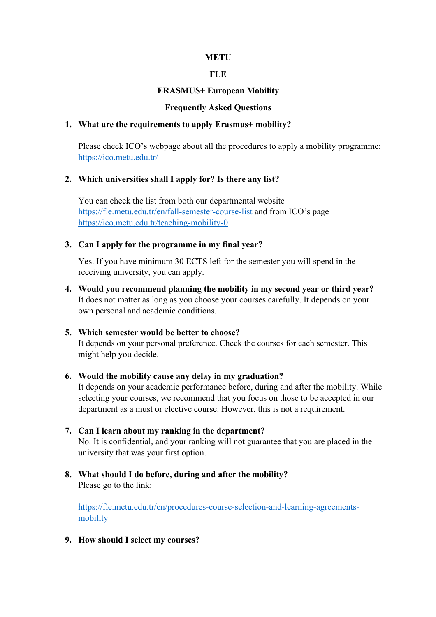### **METU**

### **FLE**

### **ERASMUS+ European Mobility**

#### **Frequently Asked Questions**

### **1. What are the requirements to apply Erasmus+ mobility?**

Please check ICO's webpage about all the procedures to apply a mobility programme: https://ico.metu.edu.tr/

### **2. Which universities shall I apply for? Is there any list?**

You can check the list from both our departmental website https://fle.metu.edu.tr/en/fall-semester-course-list and from ICO's page https://ico.metu.edu.tr/teaching-mobility-0

### **3. Can I apply for the programme in my final year?**

Yes. If you have minimum 30 ECTS left for the semester you will spend in the receiving university, you can apply.

- **4. Would you recommend planning the mobility in my second year or third year?**  It does not matter as long as you choose your courses carefully. It depends on your own personal and academic conditions.
- **5. Which semester would be better to choose?**  It depends on your personal preference. Check the courses for each semester. This might help you decide.

#### **6. Would the mobility cause any delay in my graduation?**

It depends on your academic performance before, during and after the mobility. While selecting your courses, we recommend that you focus on those to be accepted in our department as a must or elective course. However, this is not a requirement.

- **7. Can I learn about my ranking in the department?**  No. It is confidential, and your ranking will not guarantee that you are placed in the university that was your first option.
- **8. What should I do before, during and after the mobility?**  Please go to the link:

https://fle.metu.edu.tr/en/procedures-course-selection-and-learning-agreementsmobility

**9. How should I select my courses?**